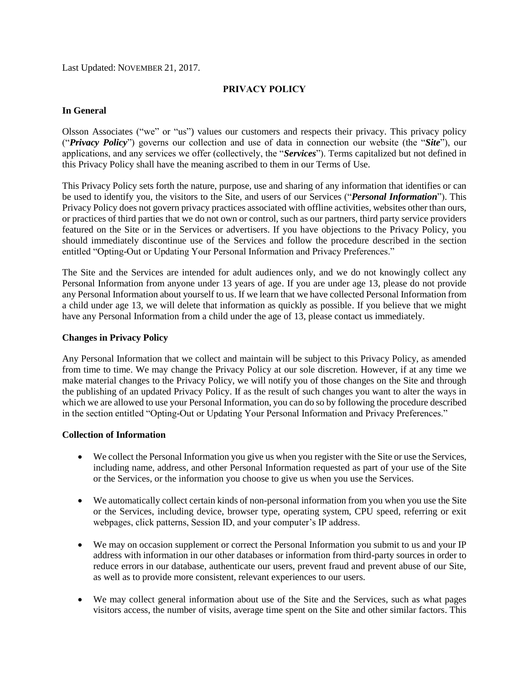Last Updated: NOVEMBER 21, 2017.

### **PRIVACY POLICY**

#### **In General**

Olsson Associates ("we" or "us") values our customers and respects their privacy. This privacy policy ("*Privacy Policy*") governs our collection and use of data in connection our website (the "*Site*"), our applications, and any services we offer (collectively, the "*Services*"). Terms capitalized but not defined in this Privacy Policy shall have the meaning ascribed to them in our Terms of Use.

This Privacy Policy sets forth the nature, purpose, use and sharing of any information that identifies or can be used to identify you, the visitors to the Site, and users of our Services ("*Personal Information*"). This Privacy Policy does not govern privacy practices associated with offline activities, websites other than ours, or practices of third parties that we do not own or control, such as our partners, third party service providers featured on the Site or in the Services or advertisers. If you have objections to the Privacy Policy, you should immediately discontinue use of the Services and follow the procedure described in the section entitled "Opting-Out or Updating Your Personal Information and Privacy Preferences."

The Site and the Services are intended for adult audiences only, and we do not knowingly collect any Personal Information from anyone under 13 years of age. If you are under age 13, please do not provide any Personal Information about yourself to us. If we learn that we have collected Personal Information from a child under age 13, we will delete that information as quickly as possible. If you believe that we might have any Personal Information from a child under the age of 13, please contact us immediately.

## **Changes in Privacy Policy**

Any Personal Information that we collect and maintain will be subject to this Privacy Policy, as amended from time to time. We may change the Privacy Policy at our sole discretion. However, if at any time we make material changes to the Privacy Policy, we will notify you of those changes on the Site and through the publishing of an updated Privacy Policy. If as the result of such changes you want to alter the ways in which we are allowed to use your Personal Information, you can do so by following the procedure described in the section entitled "Opting-Out or Updating Your Personal Information and Privacy Preferences."

### **Collection of Information**

- We collect the Personal Information you give us when you register with the Site or use the Services, including name, address, and other Personal Information requested as part of your use of the Site or the Services, or the information you choose to give us when you use the Services.
- We automatically collect certain kinds of non-personal information from you when you use the Site or the Services, including device, browser type, operating system, CPU speed, referring or exit webpages, click patterns, Session ID, and your computer's IP address.
- We may on occasion supplement or correct the Personal Information you submit to us and your IP address with information in our other databases or information from third-party sources in order to reduce errors in our database, authenticate our users, prevent fraud and prevent abuse of our Site, as well as to provide more consistent, relevant experiences to our users.
- We may collect general information about use of the Site and the Services, such as what pages visitors access, the number of visits, average time spent on the Site and other similar factors. This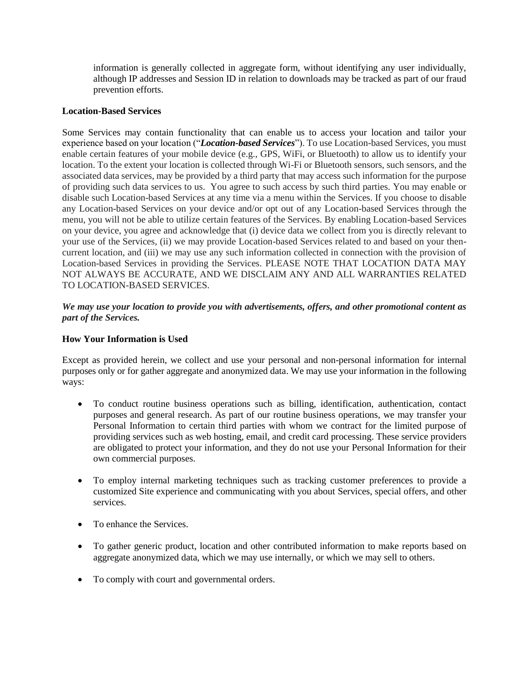information is generally collected in aggregate form, without identifying any user individually, although IP addresses and Session ID in relation to downloads may be tracked as part of our fraud prevention efforts.

#### **Location-Based Services**

Some Services may contain functionality that can enable us to access your location and tailor your experience based on your location ("*Location-based Services*"). To use Location-based Services, you must enable certain features of your mobile device (e.g., GPS, WiFi, or Bluetooth) to allow us to identify your location. To the extent your location is collected through Wi-Fi or Bluetooth sensors, such sensors, and the associated data services, may be provided by a third party that may access such information for the purpose of providing such data services to us. You agree to such access by such third parties. You may enable or disable such Location-based Services at any time via a menu within the Services. If you choose to disable any Location-based Services on your device and/or opt out of any Location-based Services through the menu, you will not be able to utilize certain features of the Services. By enabling Location-based Services on your device, you agree and acknowledge that (i) device data we collect from you is directly relevant to your use of the Services, (ii) we may provide Location-based Services related to and based on your thencurrent location, and (iii) we may use any such information collected in connection with the provision of Location-based Services in providing the Services. PLEASE NOTE THAT LOCATION DATA MAY NOT ALWAYS BE ACCURATE, AND WE DISCLAIM ANY AND ALL WARRANTIES RELATED TO LOCATION-BASED SERVICES.

## *We may use your location to provide you with advertisements, offers, and other promotional content as part of the Services.*

#### **How Your Information is Used**

Except as provided herein, we collect and use your personal and non-personal information for internal purposes only or for gather aggregate and anonymized data. We may use your information in the following ways:

- To conduct routine business operations such as billing, identification, authentication, contact purposes and general research. As part of our routine business operations, we may transfer your Personal Information to certain third parties with whom we contract for the limited purpose of providing services such as web hosting, email, and credit card processing. These service providers are obligated to protect your information, and they do not use your Personal Information for their own commercial purposes.
- To employ internal marketing techniques such as tracking customer preferences to provide a customized Site experience and communicating with you about Services, special offers, and other services.
- To enhance the Services.
- To gather generic product, location and other contributed information to make reports based on aggregate anonymized data, which we may use internally, or which we may sell to others.
- To comply with court and governmental orders.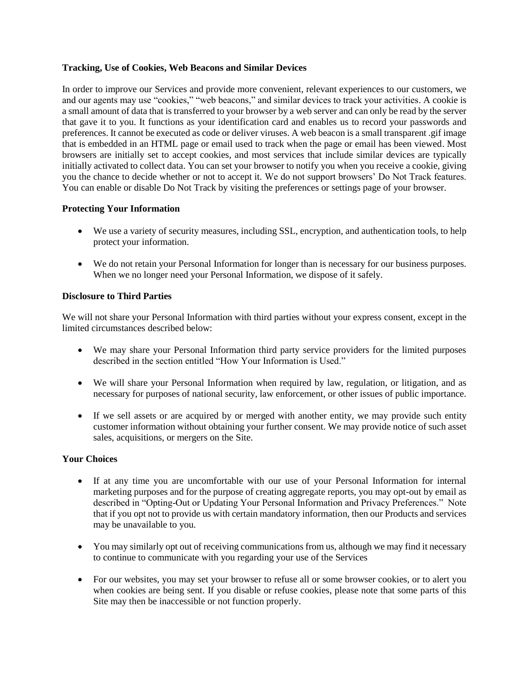### **Tracking, Use of Cookies, Web Beacons and Similar Devices**

In order to improve our Services and provide more convenient, relevant experiences to our customers, we and our agents may use "cookies," "web beacons," and similar devices to track your activities. A cookie is a small amount of data that is transferred to your browser by a web server and can only be read by the server that gave it to you. It functions as your identification card and enables us to record your passwords and preferences. It cannot be executed as code or deliver viruses. A web beacon is a small transparent .gif image that is embedded in an HTML page or email used to track when the page or email has been viewed. Most browsers are initially set to accept cookies, and most services that include similar devices are typically initially activated to collect data. You can set your browser to notify you when you receive a cookie, giving you the chance to decide whether or not to accept it. We do not support browsers' Do Not Track features. You can enable or disable Do Not Track by visiting the preferences or settings page of your browser.

# **Protecting Your Information**

- We use a variety of security measures, including SSL, encryption, and authentication tools, to help protect your information.
- We do not retain your Personal Information for longer than is necessary for our business purposes. When we no longer need your Personal Information, we dispose of it safely.

### **Disclosure to Third Parties**

We will not share your Personal Information with third parties without your express consent, except in the limited circumstances described below:

- We may share your Personal Information third party service providers for the limited purposes described in the section entitled "How Your Information is Used."
- We will share your Personal Information when required by law, regulation, or litigation, and as necessary for purposes of national security, law enforcement, or other issues of public importance.
- If we sell assets or are acquired by or merged with another entity, we may provide such entity customer information without obtaining your further consent. We may provide notice of such asset sales, acquisitions, or mergers on the Site.

### **Your Choices**

- If at any time you are uncomfortable with our use of your Personal Information for internal marketing purposes and for the purpose of creating aggregate reports, you may opt-out by email as described in "Opting-Out or Updating Your Personal Information and Privacy Preferences." Note that if you opt not to provide us with certain mandatory information, then our Products and services may be unavailable to you.
- You may similarly opt out of receiving communications from us, although we may find it necessary to continue to communicate with you regarding your use of the Services
- For our websites, you may set your browser to refuse all or some browser cookies, or to alert you when cookies are being sent. If you disable or refuse cookies, please note that some parts of this Site may then be inaccessible or not function properly.